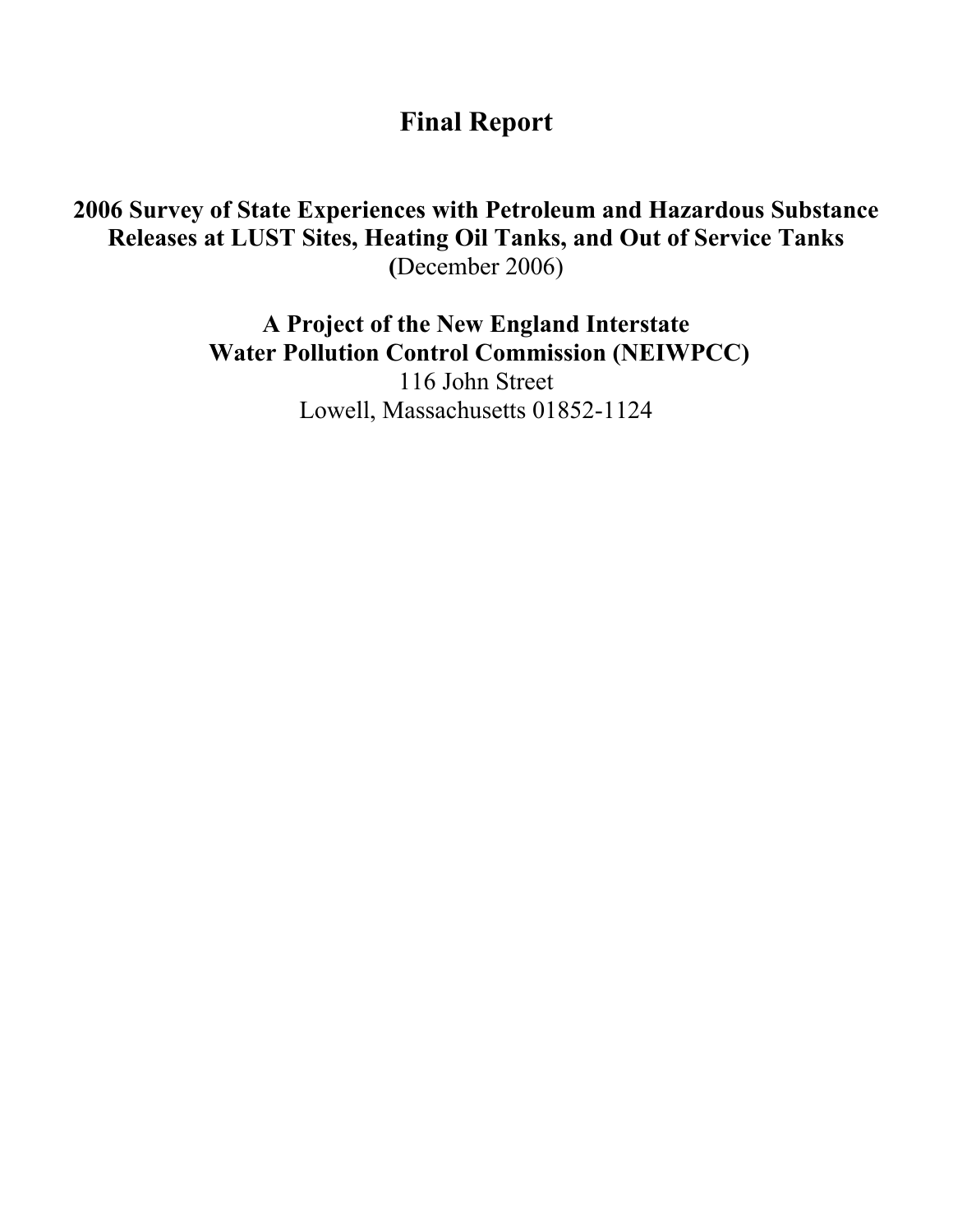Final Report

# 2006 Survey of State Experiences with Petroleum and Hazardous Substance Releases at LUST Sites, Heating Oil Tanks, and Out of Service Tanks (December 2006)

A Project of the New England Interstate Water Pollution Control Commission (NEIWPCC) 116 John Street Lowell, Massachusetts 01852-1124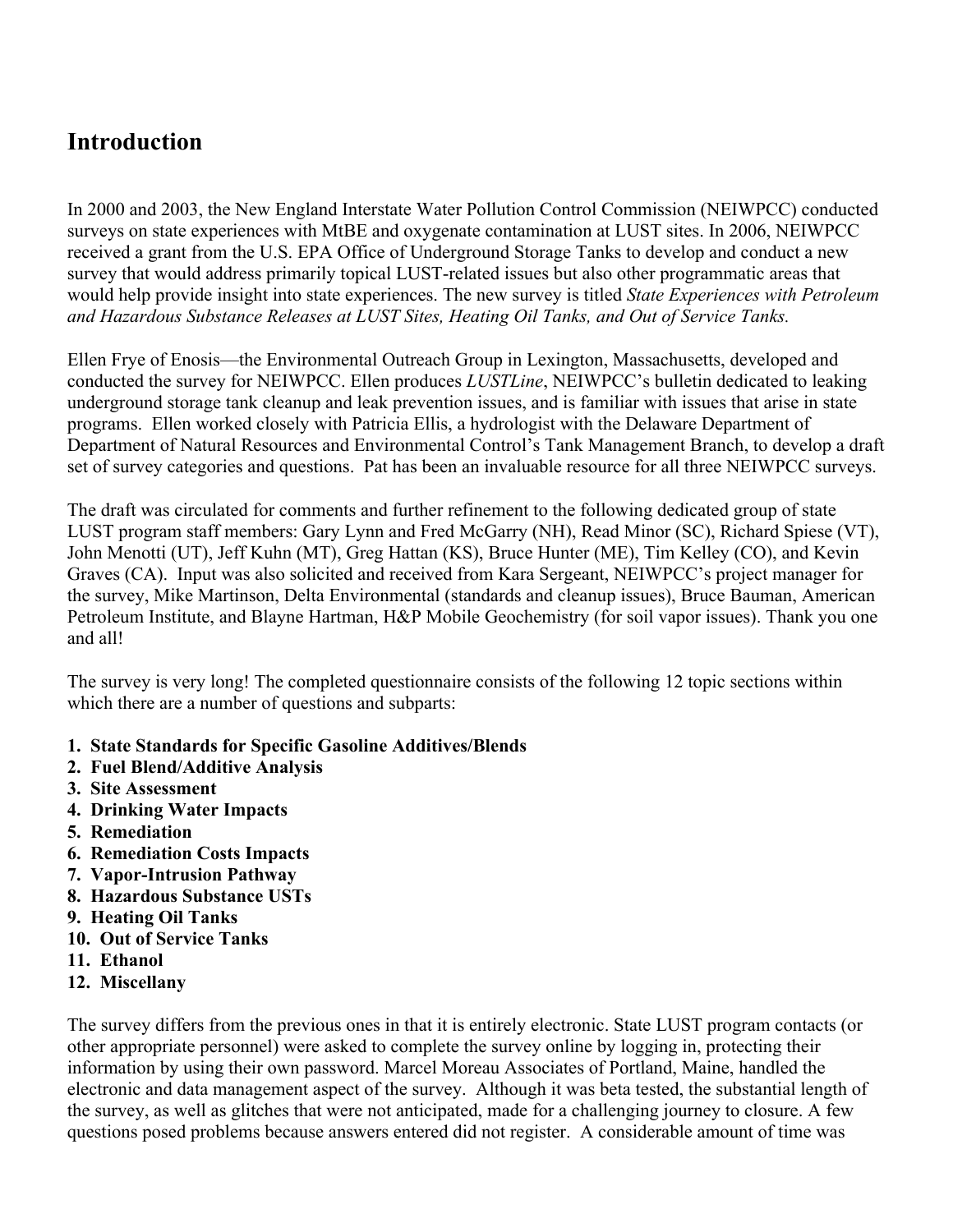# Introduction

In 2000 and 2003, the New England Interstate Water Pollution Control Commission (NEIWPCC) conducted surveys on state experiences with MtBE and oxygenate contamination at LUST sites. In 2006, NEIWPCC received a grant from the U.S. EPA Office of Underground Storage Tanks to develop and conduct a new survey that would address primarily topical LUST-related issues but also other programmatic areas that would help provide insight into state experiences. The new survey is titled *State Experiences with Petroleum and Hazardous Substance Releases at LUST Sites, Heating Oil Tanks, and Out of Service Tanks.*

Ellen Frye of Enosis—the Environmental Outreach Group in Lexington, Massachusetts, developed and conducted the survey for NEIWPCC. Ellen produces *LUSTLine*, NEIWPCC's bulletin dedicated to leaking underground storage tank cleanup and leak prevention issues, and is familiar with issues that arise in state programs. Ellen worked closely with Patricia Ellis, a hydrologist with the Delaware Department of Department of Natural Resources and Environmental Control's Tank Management Branch, to develop a draft set of survey categories and questions. Pat has been an invaluable resource for all three NEIWPCC surveys.

The draft was circulated for comments and further refinement to the following dedicated group of state LUST program staff members: Gary Lynn and Fred McGarry (NH), Read Minor (SC), Richard Spiese (VT), John Menotti (UT), Jeff Kuhn (MT), Greg Hattan (KS), Bruce Hunter (ME), Tim Kelley (CO), and Kevin Graves (CA). Input was also solicited and received from Kara Sergeant, NEIWPCC's project manager for the survey, Mike Martinson, Delta Environmental (standards and cleanup issues), Bruce Bauman, American Petroleum Institute, and Blayne Hartman, H&P Mobile Geochemistry (for soil vapor issues). Thank you one and all!

The survey is very long! The completed questionnaire consists of the following 12 topic sections within which there are a number of questions and subparts:

- 1. State Standards for Specific Gasoline Additives/Blends
- 2. Fuel Blend/Additive Analysis
- 3. Site Assessment
- 4. Drinking Water Impacts
- 5. Remediation
- 6. Remediation Costs Impacts
- 7. Vapor-Intrusion Pathway
- 8. Hazardous Substance USTs
- 9. Heating Oil Tanks
- 10. Out of Service Tanks
- 11. Ethanol
- 12. Miscellany

The survey differs from the previous ones in that it is entirely electronic. State LUST program contacts (or other appropriate personnel) were asked to complete the survey online by logging in, protecting their information by using their own password. Marcel Moreau Associates of Portland, Maine, handled the electronic and data management aspect of the survey. Although it was beta tested, the substantial length of the survey, as well as glitches that were not anticipated, made for a challenging journey to closure. A few questions posed problems because answers entered did not register. A considerable amount of time was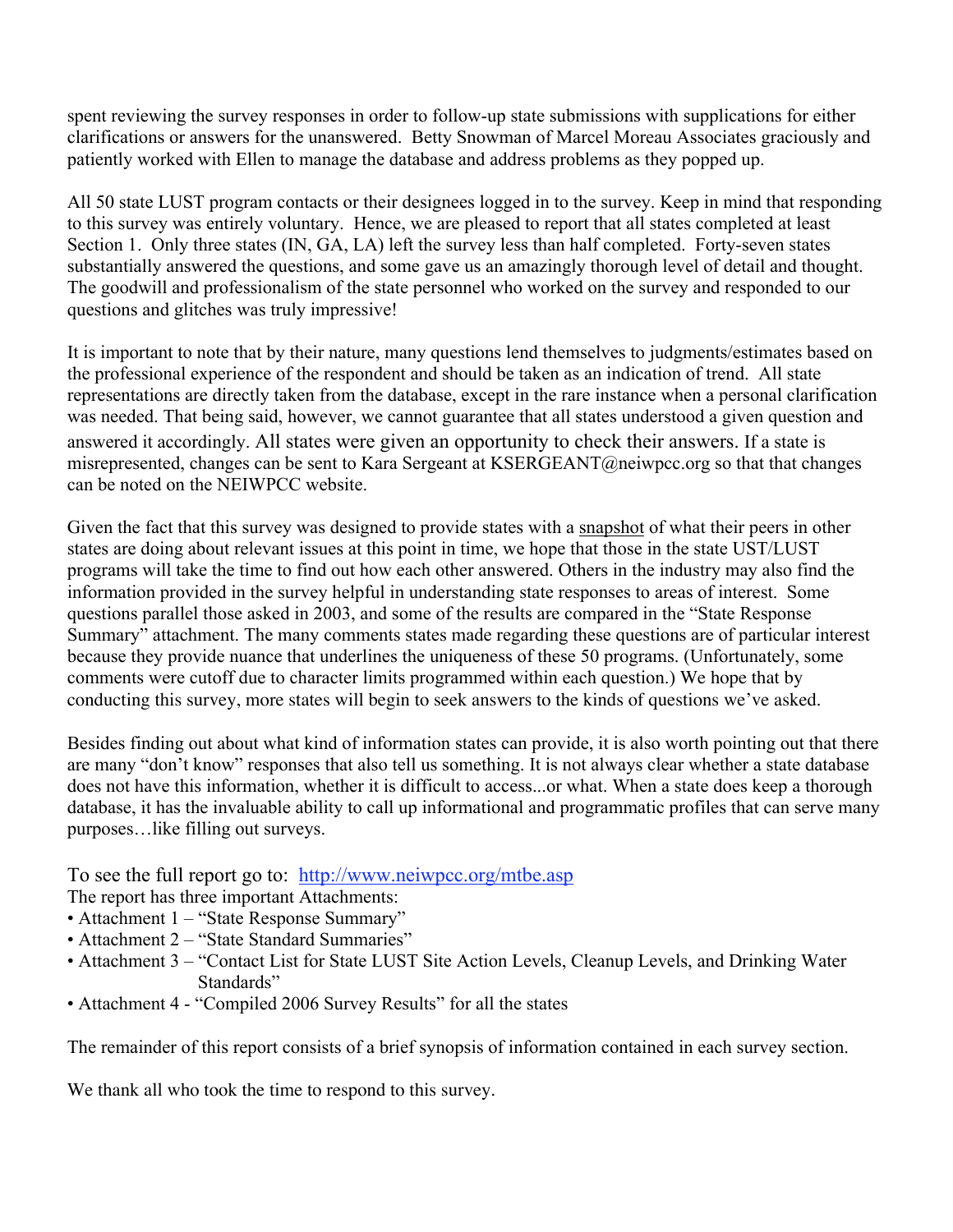spent reviewing the survey responses in order to follow-up state submissions with supplications for either clarifications or answers for the unanswered. Betty Snowman of Marcel Moreau Associates graciously and patiently worked with Ellen to manage the database and address problems as they popped up.

All 50 state LUST program contacts or their designees logged in to the survey. Keep in mind that responding to this survey was entirely voluntary. Hence, we are pleased to report that all states completed at least Section 1. Only three states (IN, GA, LA) left the survey less than half completed. Forty-seven states substantially answered the questions, and some gave us an amazingly thorough level of detail and thought. The goodwill and professionalism of the state personnel who worked on the survey and responded to our questions and glitches was truly impressive!

It is important to note that by their nature, many questions lend themselves to judgments/estimates based on the professional experience of the respondent and should be taken as an indication of trend. All state representations are directly taken from the database, except in the rare instance when a personal clarification was needed. That being said, however, we cannot guarantee that all states understood a given question and answered it accordingly. All states were given an opportunity to check their answers. If a state is misrepresented, changes can be sent to Kara Sergeant at KSERGEANT@neiwpcc.org so that that changes can be noted on the NEIWPCC website.

Given the fact that this survey was designed to provide states with a snapshot of what their peers in other states are doing about relevant issues at this point in time, we hope that those in the state UST/LUST programs will take the time to find out how each other answered. Others in the industry may also find the information provided in the survey helpful in understanding state responses to areas of interest. Some questions parallel those asked in 2003, and some of the results are compared in the "State Response Summary" attachment. The many comments states made regarding these questions are of particular interest because they provide nuance that underlines the uniqueness of these 50 programs. (Unfortunately, some comments were cutoff due to character limits programmed within each question.) We hope that by conducting this survey, more states will begin to seek answers to the kinds of questions we've asked.

Besides finding out about what kind of information states can provide, it is also worth pointing out that there are many "don't know" responses that also tell us something. It is not always clear whether a state database does not have this information, whether it is difficult to access...or what. When a state does keep a thorough database, it has the invaluable ability to call up informational and programmatic profiles that can serve many purposes…like filling out surveys.

To see the full report go to: http://www.neiwpcc.org/mtbe.asp

The report has three important Attachments:

- Attachment 1 "State Response Summary"
- Attachment 2 "State Standard Summaries"
- Attachment 3 "Contact List for State LUST Site Action Levels, Cleanup Levels, and Drinking Water Standards"
- Attachment 4 "Compiled 2006 Survey Results" for all the states

The remainder of this report consists of a brief synopsis of information contained in each survey section.

We thank all who took the time to respond to this survey.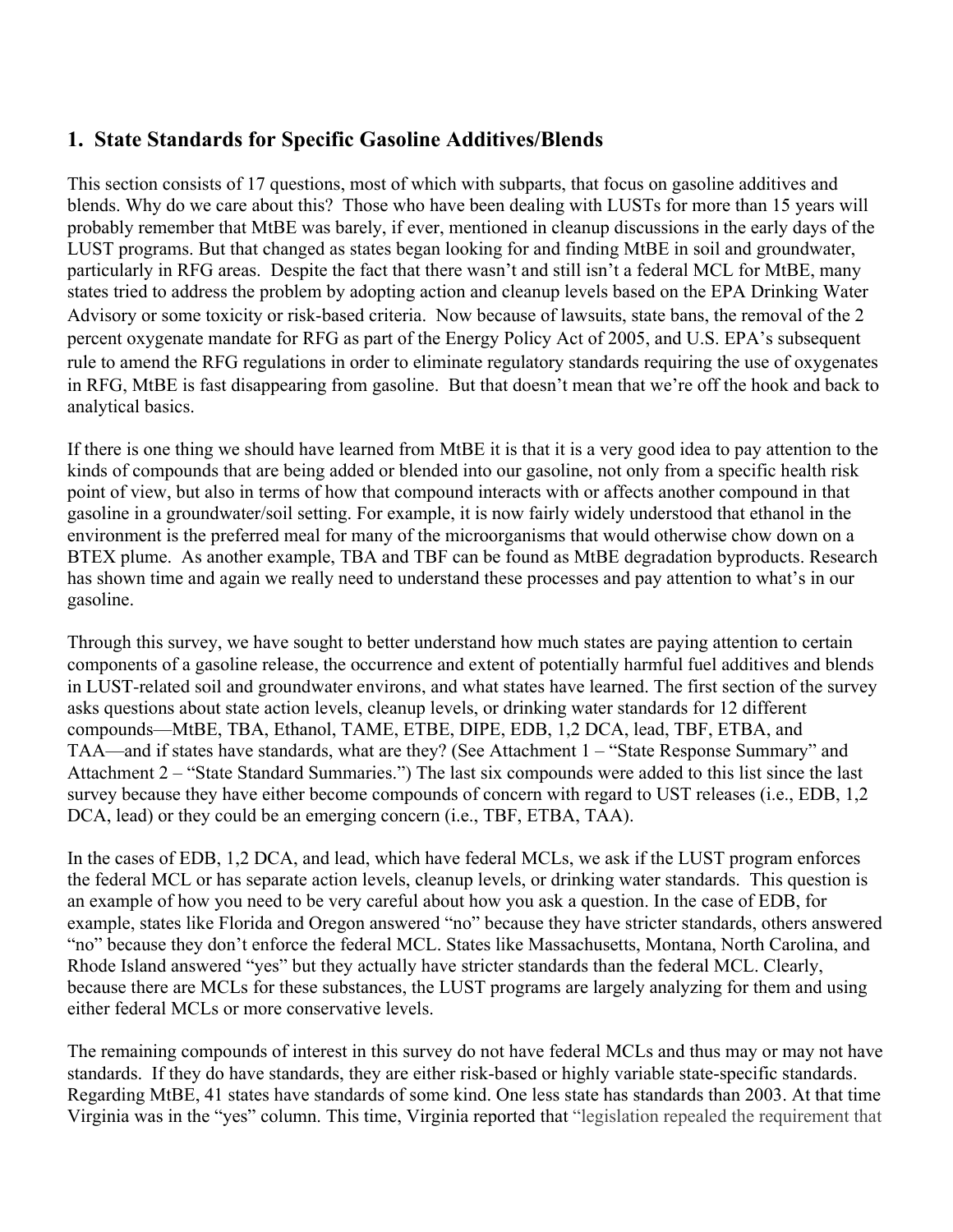## 1. State Standards for Specific Gasoline Additives/Blends

This section consists of 17 questions, most of which with subparts, that focus on gasoline additives and blends. Why do we care about this? Those who have been dealing with LUSTs for more than 15 years will probably remember that MtBE was barely, if ever, mentioned in cleanup discussions in the early days of the LUST programs. But that changed as states began looking for and finding MtBE in soil and groundwater, particularly in RFG areas. Despite the fact that there wasn't and still isn't a federal MCL for MtBE, many states tried to address the problem by adopting action and cleanup levels based on the EPA Drinking Water Advisory or some toxicity or risk-based criteria. Now because of lawsuits, state bans, the removal of the 2 percent oxygenate mandate for RFG as part of the Energy Policy Act of 2005, and U.S. EPA's subsequent rule to amend the RFG regulations in order to eliminate regulatory standards requiring the use of oxygenates in RFG, MtBE is fast disappearing from gasoline. But that doesn't mean that we're off the hook and back to analytical basics.

If there is one thing we should have learned from MtBE it is that it is a very good idea to pay attention to the kinds of compounds that are being added or blended into our gasoline, not only from a specific health risk point of view, but also in terms of how that compound interacts with or affects another compound in that gasoline in a groundwater/soil setting. For example, it is now fairly widely understood that ethanol in the environment is the preferred meal for many of the microorganisms that would otherwise chow down on a BTEX plume. As another example, TBA and TBF can be found as MtBE degradation byproducts. Research has shown time and again we really need to understand these processes and pay attention to what's in our gasoline.

Through this survey, we have sought to better understand how much states are paying attention to certain components of a gasoline release, the occurrence and extent of potentially harmful fuel additives and blends in LUST-related soil and groundwater environs, and what states have learned. The first section of the survey asks questions about state action levels, cleanup levels, or drinking water standards for 12 different compounds—MtBE, TBA, Ethanol, TAME, ETBE, DIPE, EDB, 1,2 DCA, lead, TBF, ETBA, and TAA—and if states have standards, what are they? (See Attachment 1 – "State Response Summary" and Attachment 2 – "State Standard Summaries.") The last six compounds were added to this list since the last survey because they have either become compounds of concern with regard to UST releases (i.e., EDB, 1,2 DCA, lead) or they could be an emerging concern (i.e., TBF, ETBA, TAA).

In the cases of EDB, 1,2 DCA, and lead, which have federal MCLs, we ask if the LUST program enforces the federal MCL or has separate action levels, cleanup levels, or drinking water standards. This question is an example of how you need to be very careful about how you ask a question. In the case of EDB, for example, states like Florida and Oregon answered "no" because they have stricter standards, others answered "no" because they don't enforce the federal MCL. States like Massachusetts, Montana, North Carolina, and Rhode Island answered "yes" but they actually have stricter standards than the federal MCL. Clearly, because there are MCLs for these substances, the LUST programs are largely analyzing for them and using either federal MCLs or more conservative levels.

The remaining compounds of interest in this survey do not have federal MCLs and thus may or may not have standards. If they do have standards, they are either risk-based or highly variable state-specific standards. Regarding MtBE, 41 states have standards of some kind. One less state has standards than 2003. At that time Virginia was in the "yes" column. This time, Virginia reported that "legislation repealed the requirement that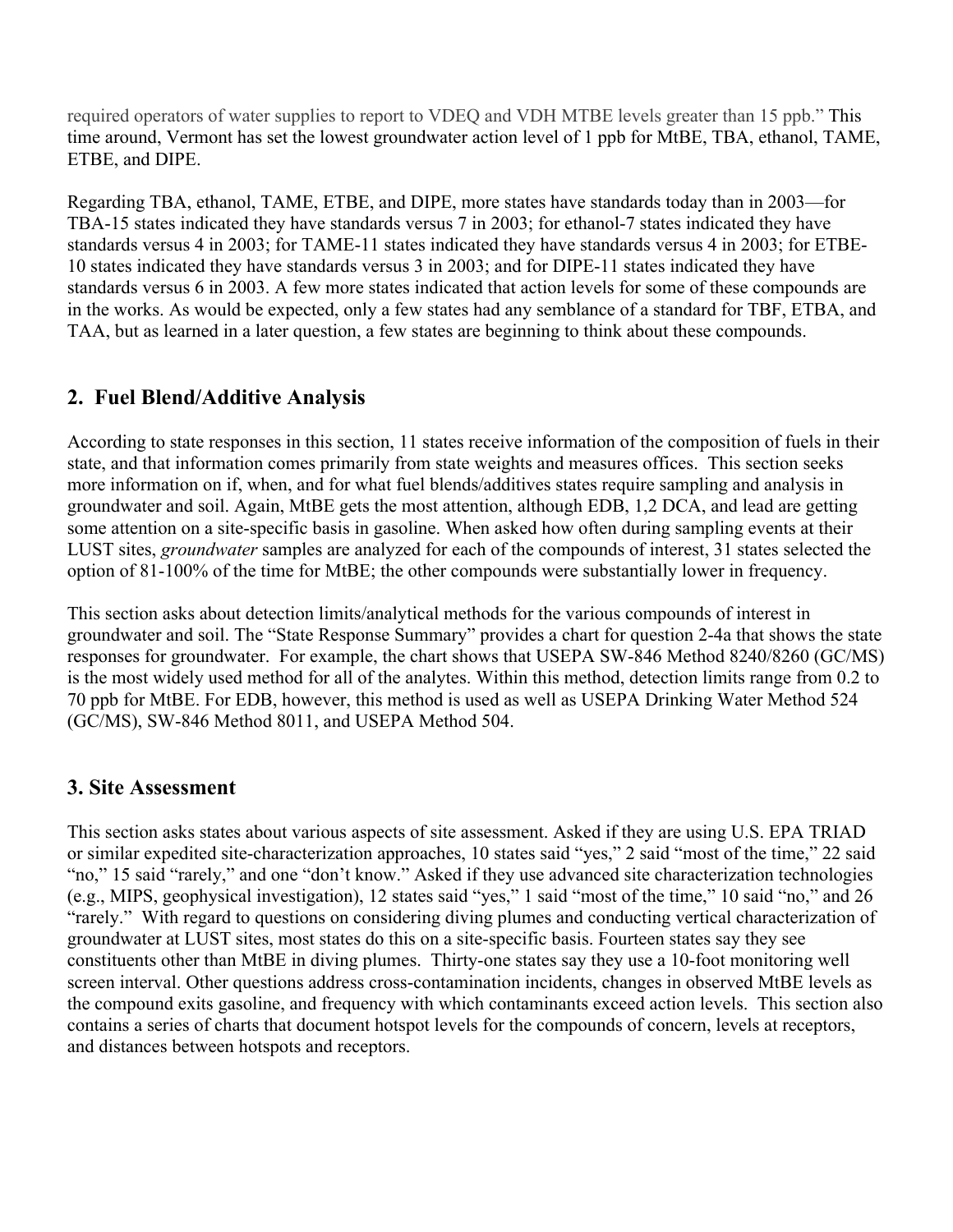required operators of water supplies to report to VDEQ and VDH MTBE levels greater than 15 ppb." This time around, Vermont has set the lowest groundwater action level of 1 ppb for MtBE, TBA, ethanol, TAME, ETBE, and DIPE.

Regarding TBA, ethanol, TAME, ETBE, and DIPE, more states have standards today than in 2003—for TBA-15 states indicated they have standards versus 7 in 2003; for ethanol-7 states indicated they have standards versus 4 in 2003; for TAME-11 states indicated they have standards versus 4 in 2003; for ETBE-10 states indicated they have standards versus 3 in 2003; and for DIPE-11 states indicated they have standards versus 6 in 2003. A few more states indicated that action levels for some of these compounds are in the works. As would be expected, only a few states had any semblance of a standard for TBF, ETBA, and TAA, but as learned in a later question, a few states are beginning to think about these compounds.

#### 2. Fuel Blend/Additive Analysis

According to state responses in this section, 11 states receive information of the composition of fuels in their state, and that information comes primarily from state weights and measures offices. This section seeks more information on if, when, and for what fuel blends/additives states require sampling and analysis in groundwater and soil. Again, MtBE gets the most attention, although EDB, 1,2 DCA, and lead are getting some attention on a site-specific basis in gasoline. When asked how often during sampling events at their LUST sites, *groundwater* samples are analyzed for each of the compounds of interest, 31 states selected the option of 81-100% of the time for MtBE; the other compounds were substantially lower in frequency.

This section asks about detection limits/analytical methods for the various compounds of interest in groundwater and soil. The "State Response Summary" provides a chart for question 2-4a that shows the state responses for groundwater. For example, the chart shows that USEPA SW-846 Method 8240/8260 (GC/MS) is the most widely used method for all of the analytes. Within this method, detection limits range from 0.2 to 70 ppb for MtBE. For EDB, however, this method is used as well as USEPA Drinking Water Method 524 (GC/MS), SW-846 Method 8011, and USEPA Method 504.

#### 3. Site Assessment

This section asks states about various aspects of site assessment. Asked if they are using U.S. EPA TRIAD or similar expedited site-characterization approaches, 10 states said "yes," 2 said "most of the time," 22 said "no," 15 said "rarely," and one "don't know." Asked if they use advanced site characterization technologies (e.g., MIPS, geophysical investigation), 12 states said "yes," 1 said "most of the time," 10 said "no," and 26 "rarely." With regard to questions on considering diving plumes and conducting vertical characterization of groundwater at LUST sites, most states do this on a site-specific basis. Fourteen states say they see constituents other than MtBE in diving plumes. Thirty-one states say they use a 10-foot monitoring well screen interval. Other questions address cross-contamination incidents, changes in observed MtBE levels as the compound exits gasoline, and frequency with which contaminants exceed action levels. This section also contains a series of charts that document hotspot levels for the compounds of concern, levels at receptors, and distances between hotspots and receptors.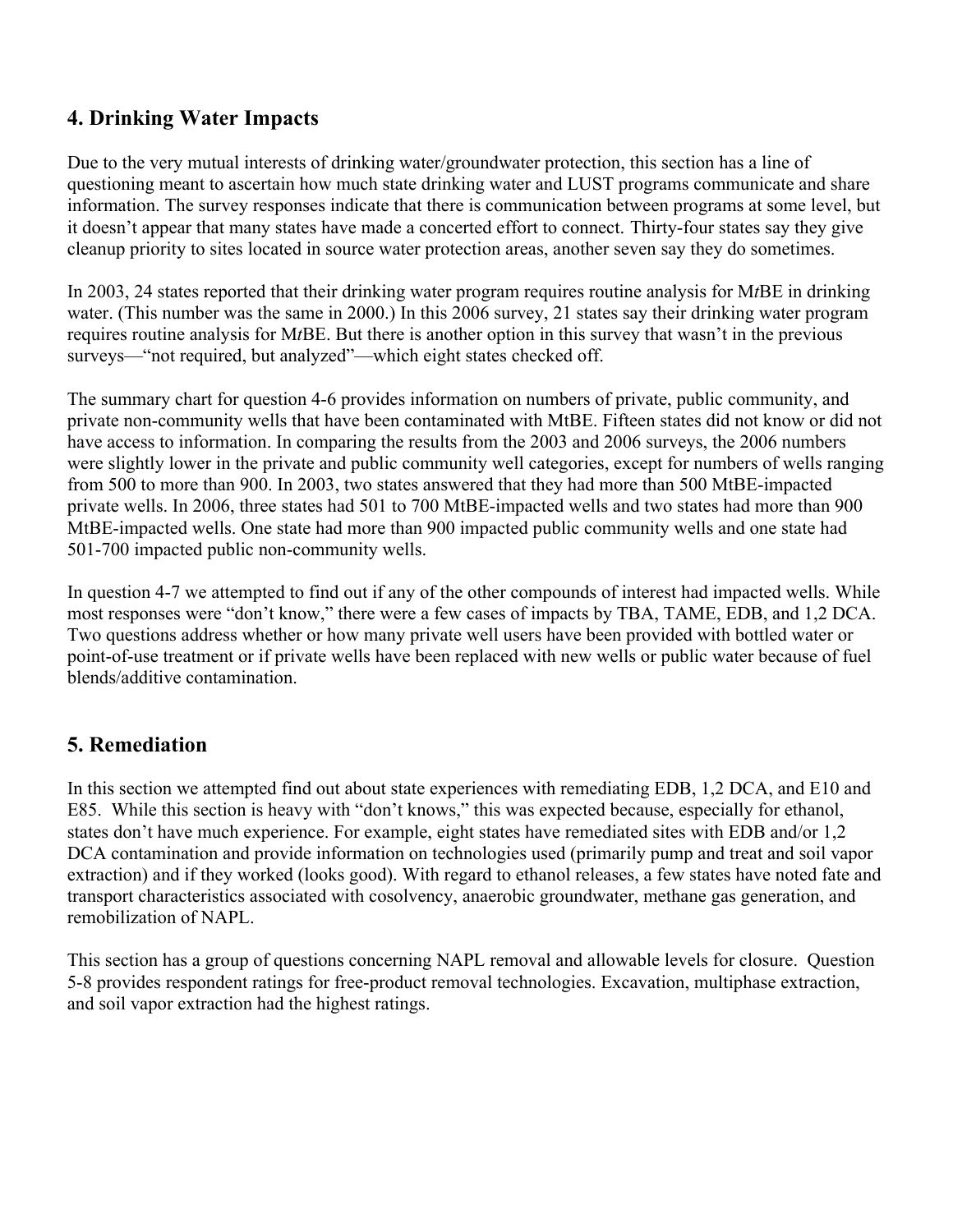## 4. Drinking Water Impacts

Due to the very mutual interests of drinking water/groundwater protection, this section has a line of questioning meant to ascertain how much state drinking water and LUST programs communicate and share information. The survey responses indicate that there is communication between programs at some level, but it doesn't appear that many states have made a concerted effort to connect. Thirty-four states say they give cleanup priority to sites located in source water protection areas, another seven say they do sometimes.

In 2003, 24 states reported that their drinking water program requires routine analysis for M*t*BE in drinking water. (This number was the same in 2000.) In this 2006 survey, 21 states say their drinking water program requires routine analysis for M*t*BE. But there is another option in this survey that wasn't in the previous surveys—"not required, but analyzed"—which eight states checked off.

The summary chart for question 4-6 provides information on numbers of private, public community, and private non-community wells that have been contaminated with MtBE. Fifteen states did not know or did not have access to information. In comparing the results from the 2003 and 2006 surveys, the 2006 numbers were slightly lower in the private and public community well categories, except for numbers of wells ranging from 500 to more than 900. In 2003, two states answered that they had more than 500 MtBE-impacted private wells. In 2006, three states had 501 to 700 MtBE-impacted wells and two states had more than 900 MtBE-impacted wells. One state had more than 900 impacted public community wells and one state had 501-700 impacted public non-community wells.

In question 4-7 we attempted to find out if any of the other compounds of interest had impacted wells. While most responses were "don't know," there were a few cases of impacts by TBA, TAME, EDB, and 1,2 DCA. Two questions address whether or how many private well users have been provided with bottled water or point-of-use treatment or if private wells have been replaced with new wells or public water because of fuel blends/additive contamination.

## 5. Remediation

In this section we attempted find out about state experiences with remediating EDB, 1,2 DCA, and E10 and E85. While this section is heavy with "don't knows," this was expected because, especially for ethanol, states don't have much experience. For example, eight states have remediated sites with EDB and/or 1,2 DCA contamination and provide information on technologies used (primarily pump and treat and soil vapor extraction) and if they worked (looks good). With regard to ethanol releases, a few states have noted fate and transport characteristics associated with cosolvency, anaerobic groundwater, methane gas generation, and remobilization of NAPL.

This section has a group of questions concerning NAPL removal and allowable levels for closure. Question 5-8 provides respondent ratings for free-product removal technologies. Excavation, multiphase extraction, and soil vapor extraction had the highest ratings.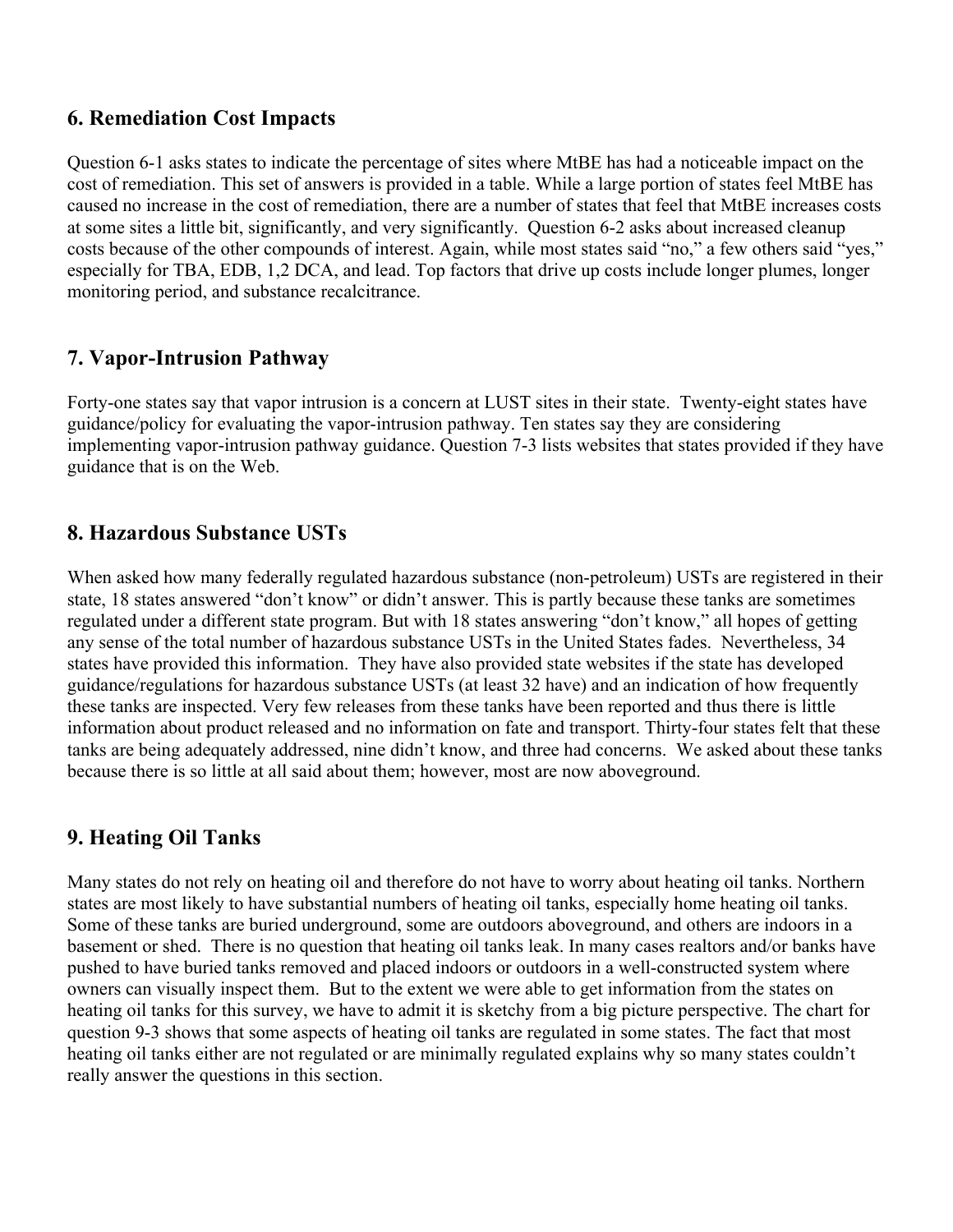#### 6. Remediation Cost Impacts

Question 6-1 asks states to indicate the percentage of sites where MtBE has had a noticeable impact on the cost of remediation. This set of answers is provided in a table. While a large portion of states feel MtBE has caused no increase in the cost of remediation, there are a number of states that feel that MtBE increases costs at some sites a little bit, significantly, and very significantly. Question 6-2 asks about increased cleanup costs because of the other compounds of interest. Again, while most states said "no," a few others said "yes," especially for TBA, EDB, 1,2 DCA, and lead. Top factors that drive up costs include longer plumes, longer monitoring period, and substance recalcitrance.

## 7. Vapor-Intrusion Pathway

Forty-one states say that vapor intrusion is a concern at LUST sites in their state. Twenty-eight states have guidance/policy for evaluating the vapor-intrusion pathway. Ten states say they are considering implementing vapor-intrusion pathway guidance. Question 7-3 lists websites that states provided if they have guidance that is on the Web.

### 8. Hazardous Substance USTs

When asked how many federally regulated hazardous substance (non-petroleum) USTs are registered in their state, 18 states answered "don't know" or didn't answer. This is partly because these tanks are sometimes regulated under a different state program. But with 18 states answering "don't know," all hopes of getting any sense of the total number of hazardous substance USTs in the United States fades. Nevertheless, 34 states have provided this information. They have also provided state websites if the state has developed guidance/regulations for hazardous substance USTs (at least 32 have) and an indication of how frequently these tanks are inspected. Very few releases from these tanks have been reported and thus there is little information about product released and no information on fate and transport. Thirty-four states felt that these tanks are being adequately addressed, nine didn't know, and three had concerns. We asked about these tanks because there is so little at all said about them; however, most are now aboveground.

## 9. Heating Oil Tanks

Many states do not rely on heating oil and therefore do not have to worry about heating oil tanks. Northern states are most likely to have substantial numbers of heating oil tanks, especially home heating oil tanks. Some of these tanks are buried underground, some are outdoors aboveground, and others are indoors in a basement or shed. There is no question that heating oil tanks leak. In many cases realtors and/or banks have pushed to have buried tanks removed and placed indoors or outdoors in a well-constructed system where owners can visually inspect them. But to the extent we were able to get information from the states on heating oil tanks for this survey, we have to admit it is sketchy from a big picture perspective. The chart for question 9-3 shows that some aspects of heating oil tanks are regulated in some states. The fact that most heating oil tanks either are not regulated or are minimally regulated explains why so many states couldn't really answer the questions in this section.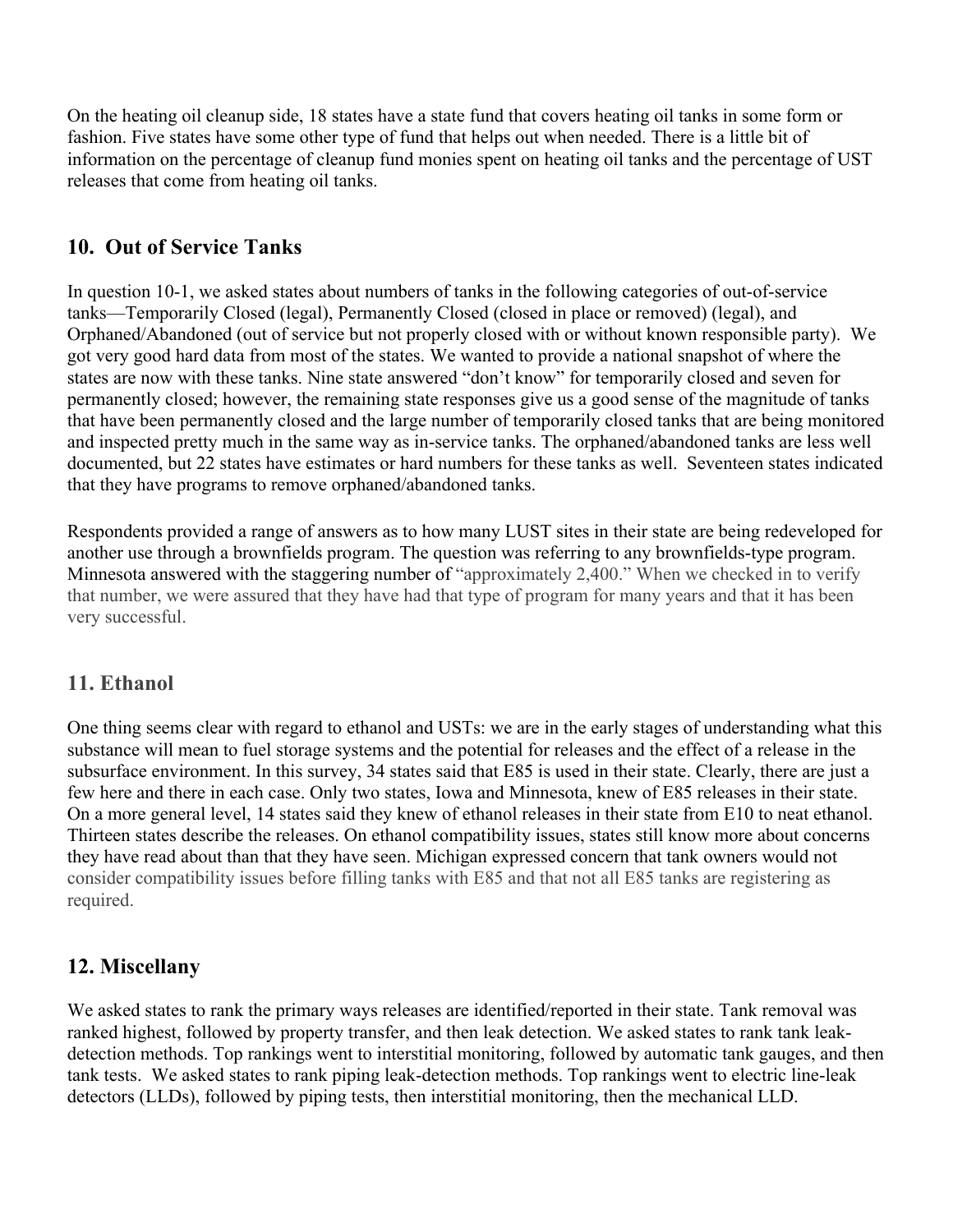On the heating oil cleanup side, 18 states have a state fund that covers heating oil tanks in some form or fashion. Five states have some other type of fund that helps out when needed. There is a little bit of information on the percentage of cleanup fund monies spent on heating oil tanks and the percentage of UST releases that come from heating oil tanks.

## 10. Out of Service Tanks

In question 10-1, we asked states about numbers of tanks in the following categories of out-of-service tanks—Temporarily Closed (legal), Permanently Closed (closed in place or removed) (legal), and Orphaned/Abandoned (out of service but not properly closed with or without known responsible party). We got very good hard data from most of the states. We wanted to provide a national snapshot of where the states are now with these tanks. Nine state answered "don't know" for temporarily closed and seven for permanently closed; however, the remaining state responses give us a good sense of the magnitude of tanks that have been permanently closed and the large number of temporarily closed tanks that are being monitored and inspected pretty much in the same way as in-service tanks. The orphaned/abandoned tanks are less well documented, but 22 states have estimates or hard numbers for these tanks as well. Seventeen states indicated that they have programs to remove orphaned/abandoned tanks.

Respondents provided a range of answers as to how many LUST sites in their state are being redeveloped for another use through a brownfields program. The question was referring to any brownfields-type program. Minnesota answered with the staggering number of "approximately 2,400." When we checked in to verify that number, we were assured that they have had that type of program for many years and that it has been very successful.

## 11. Ethanol

One thing seems clear with regard to ethanol and USTs: we are in the early stages of understanding what this substance will mean to fuel storage systems and the potential for releases and the effect of a release in the subsurface environment. In this survey, 34 states said that E85 is used in their state. Clearly, there are just a few here and there in each case. Only two states, Iowa and Minnesota, knew of E85 releases in their state. On a more general level, 14 states said they knew of ethanol releases in their state from E10 to neat ethanol. Thirteen states describe the releases. On ethanol compatibility issues, states still know more about concerns they have read about than that they have seen. Michigan expressed concern that tank owners would not consider compatibility issues before filling tanks with E85 and that not all E85 tanks are registering as required.

## 12. Miscellany

We asked states to rank the primary ways releases are identified/reported in their state. Tank removal was ranked highest, followed by property transfer, and then leak detection. We asked states to rank tank leakdetection methods. Top rankings went to interstitial monitoring, followed by automatic tank gauges, and then tank tests. We asked states to rank piping leak-detection methods. Top rankings went to electric line-leak detectors (LLDs), followed by piping tests, then interstitial monitoring, then the mechanical LLD.